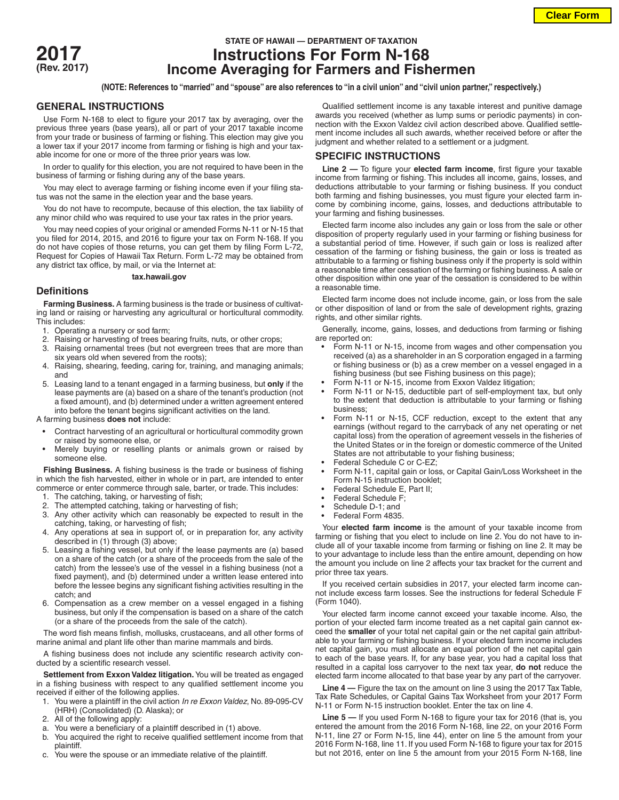

# **STATE OF HAWAII — DEPARTMENT OF TAXATION 2017 Instructions For Form N-168 (Rev. 2017) Income Averaging for Farmers and Fishermen**

**(NOTE: References to "married" and "spouse" are also references to "in a civil union" and "civil union partner," respectively.)**

### **GENERAL INSTRUCTIONS**

Use Form N-168 to elect to figure your 2017 tax by averaging, over the previous three years (base years), all or part of your 2017 taxable income from your trade or business of farming or fishing. This election may give you a lower tax if your 2017 income from farming or fishing is high and your taxable income for one or more of the three prior years was low.

In order to qualify for this election, you are not required to have been in the business of farming or fishing during any of the base years.

You may elect to average farming or fishing income even if your filing status was not the same in the election year and the base years.

You do not have to recompute, because of this election, the tax liability of any minor child who was required to use your tax rates in the prior years.

You may need copies of your original or amended Forms N-11 or N-15 that you filed for 2014, 2015, and 2016 to figure your tax on Form N-168. If you do not have copies of those returns, you can get them by filing Form L-72, Request for Copies of Hawaii Tax Return. Form L-72 may be obtained from any district tax office, by mail, or via the Internet at:

#### **tax.hawaii.gov**

## **Definitions**

**Farming Business.** A farming business is the trade or business of cultivating land or raising or harvesting any agricultural or horticultural commodity. This includes:

- 1. Operating a nursery or sod farm;
- 2. Raising or harvesting of trees bearing fruits, nuts, or other crops;
- 3. Raising ornamental trees (but not evergreen trees that are more than six years old when severed from the roots);
- 4. Raising, shearing, feeding, caring for, training, and managing animals; and
- 5. Leasing land to a tenant engaged in a farming business, but **only** if the lease payments are (a) based on a share of the tenant's production (not a fixed amount), and (b) determined under a written agreement entered into before the tenant begins significant activities on the land.

A farming business **does not** include:

- Contract harvesting of an agricultural or horticultural commodity grown or raised by someone else, or
- Merely buying or reselling plants or animals grown or raised by someone else.

**Fishing Business.** A fishing business is the trade or business of fishing in which the fish harvested, either in whole or in part, are intended to enter commerce or enter commerce through sale, barter, or trade. This includes:

- 1. The catching, taking, or harvesting of fish;
- 2. The attempted catching, taking or harvesting of fish;
- 3. Any other activity which can reasonably be expected to result in the catching, taking, or harvesting of fish;
- 4. Any operations at sea in support of, or in preparation for, any activity described in (1) through (3) above;
- 5. Leasing a fishing vessel, but only if the lease payments are (a) based on a share of the catch (or a share of the proceeds from the sale of the catch) from the lessee's use of the vessel in a fishing business (not a fixed payment), and (b) determined under a written lease entered into before the lessee begins any significant fishing activities resulting in the catch; and
- 6. Compensation as a crew member on a vessel engaged in a fishing business, but only if the compensation is based on a share of the catch (or a share of the proceeds from the sale of the catch).

The word fish means finfish, mollusks, crustaceans, and all other forms of marine animal and plant life other than marine mammals and birds.

A fishing business does not include any scientific research activity conducted by a scientific research vessel.

**Settlement from Exxon Valdez litigation.** You will be treated as engaged in a fishing business with respect to any qualified settlement income you received if either of the following applies.

- 1. You were a plaintiff in the civil action *In re Exxon Valdez*, No. 89-095-CV (HRH) (Consolidated) (D. Alaska); or
- 2. All of the following apply:
- a. You were a beneficiary of a plaintiff described in (1) above.
- b. You acquired the right to receive qualified settlement income from that plaintiff.
- c. You were the spouse or an immediate relative of the plaintiff.

Qualified settlement income is any taxable interest and punitive damage awards you received (whether as lump sums or periodic payments) in connection with the Exxon Valdez civil action described above. Qualified settlement income includes all such awards, whether received before or after the judgment and whether related to a settlement or a judgment.

## **SPECIFIC INSTRUCTIONS**

**Line 2 —** To figure your **elected farm income**, first figure your taxable income from farming or fishing. This includes all income, gains, losses, and deductions attributable to your farming or fishing business. If you conduct both farming and fishing businesses, you must figure your elected farm income by combining income, gains, losses, and deductions attributable to your farming and fishing businesses.

Elected farm income also includes any gain or loss from the sale or other disposition of property regularly used in your farming or fishing business for a substantial period of time. However, if such gain or loss is realized after cessation of the farming or fishing business, the gain or loss is treated as attributable to a farming or fishing business only if the property is sold within a reasonable time after cessation of the farming or fishing business. A sale or other disposition within one year of the cessation is considered to be within a reasonable time.

Elected farm income does not include income, gain, or loss from the sale or other disposition of land or from the sale of development rights, grazing rights, and other similar rights.

Generally, income, gains, losses, and deductions from farming or fishing are reported on:

- Form N-11 or N-15, income from wages and other compensation you received (a) as a shareholder in an S corporation engaged in a farming or fishing business or (b) as a crew member on a vessel engaged in a fishing business (but see Fishing business on this page);
- Form N-11 or N-15, income from Exxon Valdez litigation;
- Form N-11 or N-15, deductible part of self-employment tax, but only to the extent that deduction is attributable to your farming or fishing business;
- Form N-11 or N-15, CCF reduction, except to the extent that any earnings (without regard to the carryback of any net operating or net capital loss) from the operation of agreement vessels in the fisheries of the United States or in the foreign or domestic commerce of the United States are not attributable to your fishing business;
- Federal Schedule C or C-EZ;
- Form N-11, capital gain or loss, or Capital Gain/Loss Worksheet in the Form N-15 instruction booklet;
- Federal Schedule E, Part II;
- Federal Schedule F;
- Schedule D-1; and
- Federal Form 4835.

Your **elected farm income** is the amount of your taxable income from farming or fishing that you elect to include on line 2. You do not have to include all of your taxable income from farming or fishing on line 2. It may be to your advantage to include less than the entire amount, depending on how the amount you include on line 2 affects your tax bracket for the current and prior three tax years.

If you received certain subsidies in 2017, your elected farm income cannot include excess farm losses. See the instructions for federal Schedule F (Form 1040).

Your elected farm income cannot exceed your taxable income. Also, the portion of your elected farm income treated as a net capital gain cannot exceed the **smaller** of your total net capital gain or the net capital gain attributable to your farming or fishing business. If your elected farm income includes net capital gain, you must allocate an equal portion of the net capital gain to each of the base years. If, for any base year, you had a capital loss that resulted in a capital loss carryover to the next tax year, **do not** reduce the elected farm income allocated to that base year by any part of the carryover.

**Line 4 —** Figure the tax on the amount on line 3 using the 2017 Tax Table, Tax Rate Schedules, or Capital Gains Tax Worksheet from your 2017 Form N-11 or Form N-15 instruction booklet. Enter the tax on line 4.

**Line 5 —** If you used Form N-168 to figure your tax for 2016 (that is, you entered the amount from the 2016 Form N-168, line 22, on your 2016 Form N-11, line 27 or Form N-15, line 44), enter on line 5 the amount from your 2016 Form N-168, line 11. If you used Form N-168 to figure your tax for 2015 but not 2016, enter on line 5 the amount from your 2015 Form N-168, line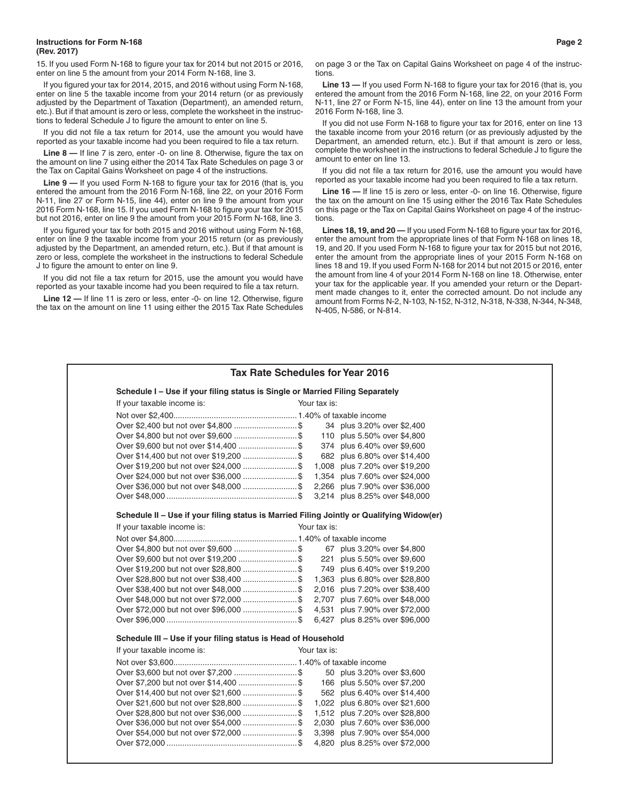15. If you used Form N-168 to figure your tax for 2014 but not 2015 or 2016, enter on line 5 the amount from your 2014 Form N-168, line 3.

If you figured your tax for 2014, 2015, and 2016 without using Form N-168, enter on line 5 the taxable income from your 2014 return (or as previously adjusted by the Department of Taxation (Department), an amended return, etc.). But if that amount is zero or less, complete the worksheet in the instructions to federal Schedule J to figure the amount to enter on line 5.

If you did not file a tax return for 2014, use the amount you would have reported as your taxable income had you been required to file a tax return.

Line 8 – If line 7 is zero, enter -0- on line 8. Otherwise, figure the tax on the amount on line 7 using either the 2014 Tax Rate Schedules on page 3 or the Tax on Capital Gains Worksheet on page 4 of the instructions.

**Line 9 —** If you used Form N-168 to figure your tax for 2016 (that is, you entered the amount from the 2016 Form N-168, line 22, on your 2016 Form N-11, line 27 or Form N-15, line 44), enter on line 9 the amount from your 2016 Form N-168, line 15. If you used Form N-168 to figure your tax for 2015 but not 2016, enter on line 9 the amount from your 2015 Form N-168, line 3.

If you figured your tax for both 2015 and 2016 without using Form N-168, enter on line 9 the taxable income from your 2015 return (or as previously adjusted by the Department, an amended return, etc.). But if that amount is zero or less, complete the worksheet in the instructions to federal Schedule J to figure the amount to enter on line 9.

If you did not file a tax return for 2015, use the amount you would have reported as your taxable income had you been required to file a tax return.

**Line 12 —** If line 11 is zero or less, enter -0- on line 12. Otherwise, figure the tax on the amount on line 11 using either the 2015 Tax Rate Schedules on page 3 or the Tax on Capital Gains Worksheet on page 4 of the instructions.

**Line 13 —** If you used Form N-168 to figure your tax for 2016 (that is, you entered the amount from the 2016 Form N-168, line 22, on your 2016 Form N-11, line 27 or Form N-15, line 44), enter on line 13 the amount from your 2016 Form N-168, line 3.

If you did not use Form N-168 to figure your tax for 2016, enter on line 13 the taxable income from your 2016 return (or as previously adjusted by the Department, an amended return, etc.). But if that amount is zero or less, complete the worksheet in the instructions to federal Schedule J to figure the amount to enter on line 13.

If you did not file a tax return for 2016, use the amount you would have reported as your taxable income had you been required to file a tax return.

**Line 16 —** If line 15 is zero or less, enter -0- on line 16. Otherwise, figure the tax on the amount on line 15 using either the 2016 Tax Rate Schedules on this page or the Tax on Capital Gains Worksheet on page 4 of the instructions.

**Lines 18, 19, and 20 —** If you used Form N-168 to figure your tax for 2016, enter the amount from the appropriate lines of that Form N-168 on lines 18, 19, and 20. If you used Form N-168 to figure your tax for 2015 but not 2016, enter the amount from the appropriate lines of your 2015 Form N-168 on lines 18 and 19. If you used Form N-168 for 2014 but not 2015 or 2016, enter the amount from line 4 of your 2014 Form N-168 on line 18. Otherwise, enter your tax for the applicable year. If you amended your return or the Department made changes to it, enter the corrected amount. Do not include any amount from Forms N-2, N-103, N-152, N-312, N-318, N-338, N-344, N-348, N-405, N-586, or N-814.

| Tax Rate Schedules for Year 2016                                                          |  |              |                                |  |  |  |
|-------------------------------------------------------------------------------------------|--|--------------|--------------------------------|--|--|--|
| Schedule I - Use if your filing status is Single or Married Filing Separately             |  |              |                                |  |  |  |
| If your taxable income is:                                                                |  | Your tax is: |                                |  |  |  |
|                                                                                           |  |              |                                |  |  |  |
|                                                                                           |  |              | 34 plus 3.20% over \$2,400     |  |  |  |
|                                                                                           |  |              | 110 plus 5.50% over \$4,800    |  |  |  |
|                                                                                           |  |              | 374 plus 6.40% over \$9,600    |  |  |  |
| Over \$14,400 but not over \$19,200  \$                                                   |  |              | 682 plus 6.80% over \$14,400   |  |  |  |
| Over \$19,200 but not over \$24,000  \$                                                   |  |              | 1,008 plus 7.20% over \$19,200 |  |  |  |
| Over \$24,000 but not over \$36,000  \$                                                   |  |              | 1,354 plus 7.60% over \$24,000 |  |  |  |
| Over \$36,000 but not over \$48,000 \$ 2,266 plus 7.90% over \$36,000                     |  |              |                                |  |  |  |
|                                                                                           |  |              | 3,214 plus 8.25% over \$48,000 |  |  |  |
| Schedule II - Use if your filing status is Married Filing Jointly or Qualifying Widow(er) |  |              |                                |  |  |  |
| If your taxable income is:                                                                |  | Your tax is: |                                |  |  |  |
|                                                                                           |  |              |                                |  |  |  |
|                                                                                           |  |              | 67 plus 3.20% over \$4,800     |  |  |  |
|                                                                                           |  |              | 221 plus 5.50% over \$9,600    |  |  |  |
| Over \$19,200 but not over \$28,800  \$                                                   |  |              | 749 plus 6.40% over \$19,200   |  |  |  |
| Over \$28,800 but not over \$38,400  \$ 1,363 plus 6.80% over \$28,800                    |  |              |                                |  |  |  |
| Over \$38,400 but not over \$48,000  \$                                                   |  |              | 2,016 plus 7.20% over \$38,400 |  |  |  |
| Over \$48,000 but not over \$72,000 \$ 2,707 plus 7.60% over \$48,000                     |  |              |                                |  |  |  |
| Over \$72,000 but not over \$96,000  \$                                                   |  |              | 4,531 plus 7.90% over \$72,000 |  |  |  |
|                                                                                           |  |              | 6,427 plus 8.25% over \$96,000 |  |  |  |
| Schedule III - Use if your filing status is Head of Household                             |  |              |                                |  |  |  |
| If your taxable income is:                                                                |  | Your tax is: |                                |  |  |  |
|                                                                                           |  |              |                                |  |  |  |
| Over \$3,600 but not over \$7,200  \$                                                     |  |              | 50 plus 3.20% over \$3,600     |  |  |  |
|                                                                                           |  |              | 166 plus 5.50% over \$7,200    |  |  |  |
| Over \$14,400 but not over \$21,600  \$                                                   |  |              | 562 plus 6.40% over \$14,400   |  |  |  |
|                                                                                           |  |              | 1,022 plus 6.80% over \$21,600 |  |  |  |
| Over \$28,800 but not over \$36,000  \$                                                   |  |              | 1,512 plus 7.20% over \$28,800 |  |  |  |
| Over \$36,000 but not over \$54,000  \$                                                   |  |              | 2,030 plus 7.60% over \$36,000 |  |  |  |
| Over \$54,000 but not over \$72,000  \$                                                   |  |              | 3,398 plus 7.90% over \$54,000 |  |  |  |
|                                                                                           |  |              | 4,820 plus 8.25% over \$72,000 |  |  |  |
|                                                                                           |  |              |                                |  |  |  |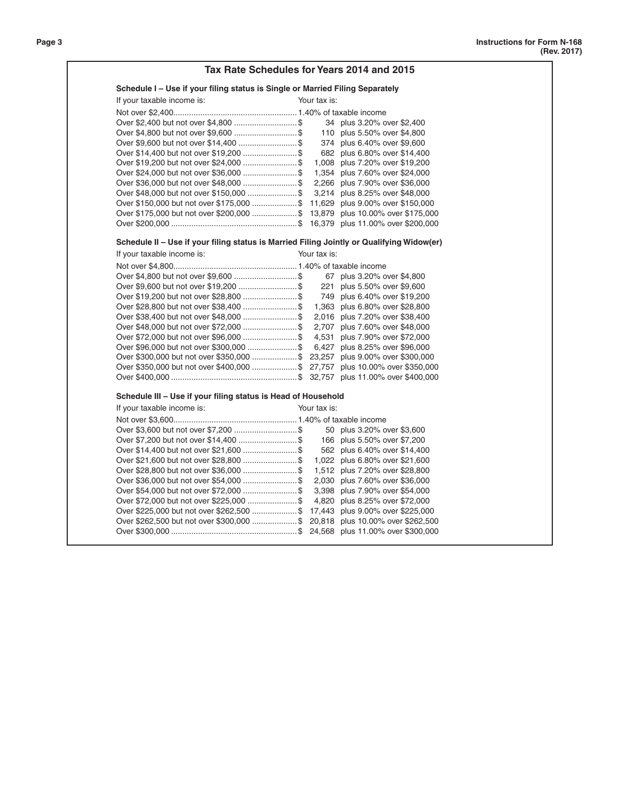| Tax Rate Schedules for Years 2014 and 2015                                                |                                |  |  |  |  |  |  |
|-------------------------------------------------------------------------------------------|--------------------------------|--|--|--|--|--|--|
| Schedule I – Use if your filing status is Single or Married Filing Separately             |                                |  |  |  |  |  |  |
| If your taxable income is:                                                                | Your tax is:                   |  |  |  |  |  |  |
|                                                                                           |                                |  |  |  |  |  |  |
| Over \$2,400 but not over \$4,800  \$                                                     | 34 plus 3.20% over \$2,400     |  |  |  |  |  |  |
|                                                                                           | 110 plus 5.50% over \$4,800    |  |  |  |  |  |  |
|                                                                                           | 374 plus 6.40% over \$9,600    |  |  |  |  |  |  |
|                                                                                           | 682 plus 6.80% over \$14,400   |  |  |  |  |  |  |
|                                                                                           | 1,008 plus 7.20% over \$19,200 |  |  |  |  |  |  |
|                                                                                           | 1,354 plus 7.60% over \$24,000 |  |  |  |  |  |  |
| Over \$36,000 but not over \$48,000  \$                                                   | 2,266 plus 7.90% over \$36,000 |  |  |  |  |  |  |
| Over \$48,000 but not over \$150,000  \$                                                  | 3,214 plus 8.25% over \$48,000 |  |  |  |  |  |  |
| Over \$150,000 but not over \$175,000  \$ 11,629 plus 9.00% over \$150,000                |                                |  |  |  |  |  |  |
| Over \$175,000 but not over \$200,000  \$ 13,879 plus 10.00% over \$175,000               |                                |  |  |  |  |  |  |
|                                                                                           |                                |  |  |  |  |  |  |
| Schedule II - Use if your filing status is Married Filing Jointly or Qualifying Widow(er) |                                |  |  |  |  |  |  |
| If your taxable income is:                                                                | Your tax is:                   |  |  |  |  |  |  |
|                                                                                           |                                |  |  |  |  |  |  |
| Over \$4,800 but not over \$9,600  \$                                                     | 67 plus 3.20% over \$4,800     |  |  |  |  |  |  |
|                                                                                           | 221 plus 5.50% over \$9,600    |  |  |  |  |  |  |
|                                                                                           | 749 plus 6.40% over \$19,200   |  |  |  |  |  |  |
|                                                                                           | 1,363 plus 6.80% over \$28,800 |  |  |  |  |  |  |
|                                                                                           | 2,016 plus 7.20% over \$38,400 |  |  |  |  |  |  |
| Over \$48,000 but not over \$72,000  \$                                                   | 2,707 plus 7.60% over \$48,000 |  |  |  |  |  |  |
| Over \$72,000 but not over \$96,000  \$                                                   | 4,531 plus 7.90% over \$72,000 |  |  |  |  |  |  |
| Over \$96,000 but not over \$300,000  \$ 6,427 plus 8.25% over \$96,000                   |                                |  |  |  |  |  |  |
| Over \$300,000 but not over \$350,000 \$ 23,257 plus 9.00% over \$300,000                 |                                |  |  |  |  |  |  |
| Over \$350,000 but not over \$400,000 \$ 27,757 plus 10.00% over \$350,000                |                                |  |  |  |  |  |  |
|                                                                                           |                                |  |  |  |  |  |  |
| Schedule III - Use if your filing status is Head of Household                             |                                |  |  |  |  |  |  |
| If your taxable income is:                                                                | Your tax is:                   |  |  |  |  |  |  |
|                                                                                           |                                |  |  |  |  |  |  |
|                                                                                           | 50 plus 3.20% over \$3,600     |  |  |  |  |  |  |
|                                                                                           | 166 plus 5.50% over \$7,200    |  |  |  |  |  |  |
|                                                                                           | 562 plus 6.40% over \$14,400   |  |  |  |  |  |  |
|                                                                                           | 1,022 plus 6.80% over \$21,600 |  |  |  |  |  |  |
|                                                                                           | 1,512 plus 7.20% over \$28,800 |  |  |  |  |  |  |
| Over \$36,000 but not over \$54,000  \$                                                   | 2,030 plus 7.60% over \$36,000 |  |  |  |  |  |  |
| Over \$54,000 but not over \$72,000  \$                                                   | 3,398 plus 7.90% over \$54,000 |  |  |  |  |  |  |
| Over \$72,000 but not over \$225,000  \$                                                  | 4,820 plus 8.25% over \$72,000 |  |  |  |  |  |  |
| Over \$225,000 but not over \$262,500 \$ 17,443 plus 9.00% over \$225,000                 |                                |  |  |  |  |  |  |
| Over \$262,500 but not over \$300,000 \$ 20,818 plus 10.00% over \$262,500                |                                |  |  |  |  |  |  |
|                                                                                           |                                |  |  |  |  |  |  |